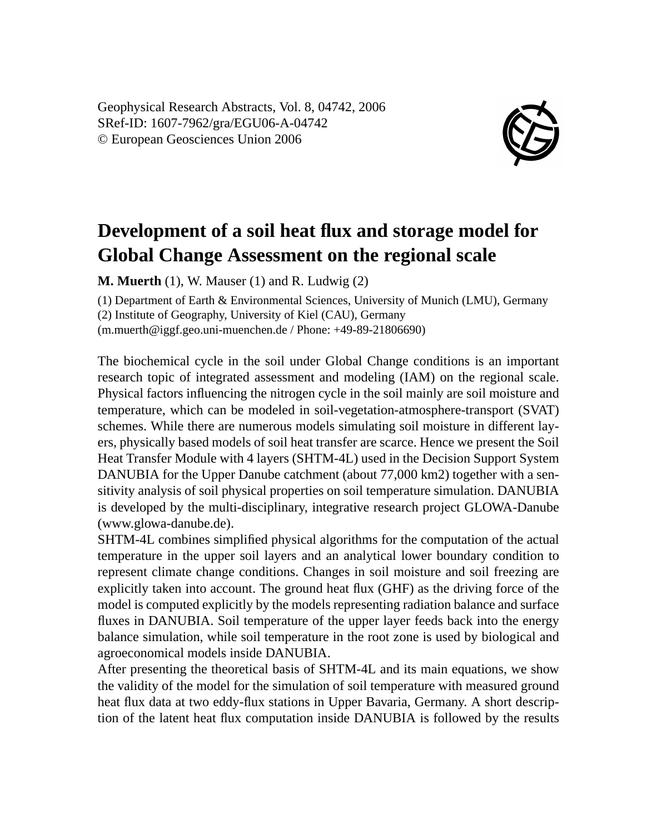Geophysical Research Abstracts, Vol. 8, 04742, 2006 SRef-ID: 1607-7962/gra/EGU06-A-04742 © European Geosciences Union 2006



## **Development of a soil heat flux and storage model for Global Change Assessment on the regional scale**

**M. Muerth** (1), W. Mauser (1) and R. Ludwig (2)

(1) Department of Earth & Environmental Sciences, University of Munich (LMU), Germany (2) Institute of Geography, University of Kiel (CAU), Germany

(m.muerth@iggf.geo.uni-muenchen.de / Phone: +49-89-21806690)

The biochemical cycle in the soil under Global Change conditions is an important research topic of integrated assessment and modeling (IAM) on the regional scale. Physical factors influencing the nitrogen cycle in the soil mainly are soil moisture and temperature, which can be modeled in soil-vegetation-atmosphere-transport (SVAT) schemes. While there are numerous models simulating soil moisture in different layers, physically based models of soil heat transfer are scarce. Hence we present the Soil Heat Transfer Module with 4 layers (SHTM-4L) used in the Decision Support System DANUBIA for the Upper Danube catchment (about 77,000 km2) together with a sensitivity analysis of soil physical properties on soil temperature simulation. DANUBIA is developed by the multi-disciplinary, integrative research project GLOWA-Danube (www.glowa-danube.de).

SHTM-4L combines simplified physical algorithms for the computation of the actual temperature in the upper soil layers and an analytical lower boundary condition to represent climate change conditions. Changes in soil moisture and soil freezing are explicitly taken into account. The ground heat flux (GHF) as the driving force of the model is computed explicitly by the models representing radiation balance and surface fluxes in DANUBIA. Soil temperature of the upper layer feeds back into the energy balance simulation, while soil temperature in the root zone is used by biological and agroeconomical models inside DANUBIA.

After presenting the theoretical basis of SHTM-4L and its main equations, we show the validity of the model for the simulation of soil temperature with measured ground heat flux data at two eddy-flux stations in Upper Bavaria, Germany. A short description of the latent heat flux computation inside DANUBIA is followed by the results